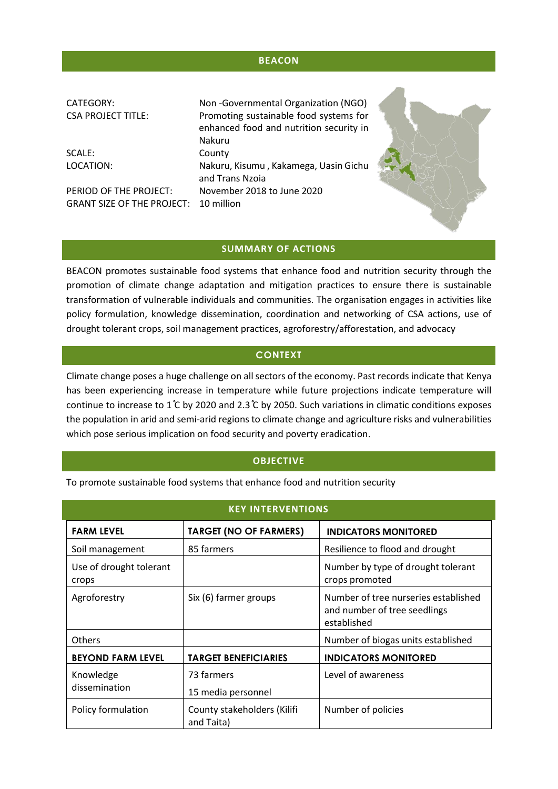# **BEACON**

| CATEGORY:<br><b>CSA PROJECT TITLE:</b>       | Non-Governmental Organization (NGO)<br>Promoting sustainable food systems for<br>enhanced food and nutrition security in<br><b>Nakuru</b> |  |
|----------------------------------------------|-------------------------------------------------------------------------------------------------------------------------------------------|--|
| SCALE:                                       | County                                                                                                                                    |  |
| LOCATION:                                    | Nakuru, Kisumu, Kakamega, Uasin Gichu<br>and Trans Nzoia                                                                                  |  |
| PERIOD OF THE PROJECT:                       | November 2018 to June 2020                                                                                                                |  |
| <b>GRANT SIZE OF THE PROJECT: 10 million</b> |                                                                                                                                           |  |

## **SUMMARY OF ACTIONS**

BEACON promotes sustainable food systems that enhance food and nutrition security through the promotion of climate change adaptation and mitigation practices to ensure there is sustainable transformation of vulnerable individuals and communities. The organisation engages in activities like policy formulation, knowledge dissemination, coordination and networking of CSA actions, use of drought tolerant crops, soil management practices, agroforestry/afforestation, and advocacy

# **CONTEXT**

Climate change poses a huge challenge on all sectors of the economy. Past records indicate that Kenya has been experiencing increase in temperature while future projections indicate temperature will continue to increase to 1°C by 2020 and 2.3°C by 2050. Such variations in climatic conditions exposes the population in arid and semi-arid regions to climate change and agriculture risks and vulnerabilities which pose serious implication on food security and poverty eradication.

### **OBJECTIVE**

To promote sustainable food systems that enhance food and nutrition security

| <b>KEY INTERVENTIONS</b>         |                                           |                                                                                     |  |
|----------------------------------|-------------------------------------------|-------------------------------------------------------------------------------------|--|
| <b>FARM LEVEL</b>                | <b>TARGET (NO OF FARMERS)</b>             | <b>INDICATORS MONITORED</b>                                                         |  |
| Soil management                  | 85 farmers                                | Resilience to flood and drought                                                     |  |
| Use of drought tolerant<br>crops |                                           | Number by type of drought tolerant<br>crops promoted                                |  |
| Agroforestry                     | Six (6) farmer groups                     | Number of tree nurseries established<br>and number of tree seedlings<br>established |  |
| <b>Others</b>                    |                                           | Number of biogas units established                                                  |  |
| <b>BEYOND FARM LEVEL</b>         | <b>TARGET BENEFICIARIES</b>               | <b>INDICATORS MONITORED</b>                                                         |  |
| Knowledge                        | 73 farmers                                | Level of awareness                                                                  |  |
| dissemination                    | 15 media personnel                        |                                                                                     |  |
| Policy formulation               | County stakeholders (Kilifi<br>and Taita) | Number of policies                                                                  |  |